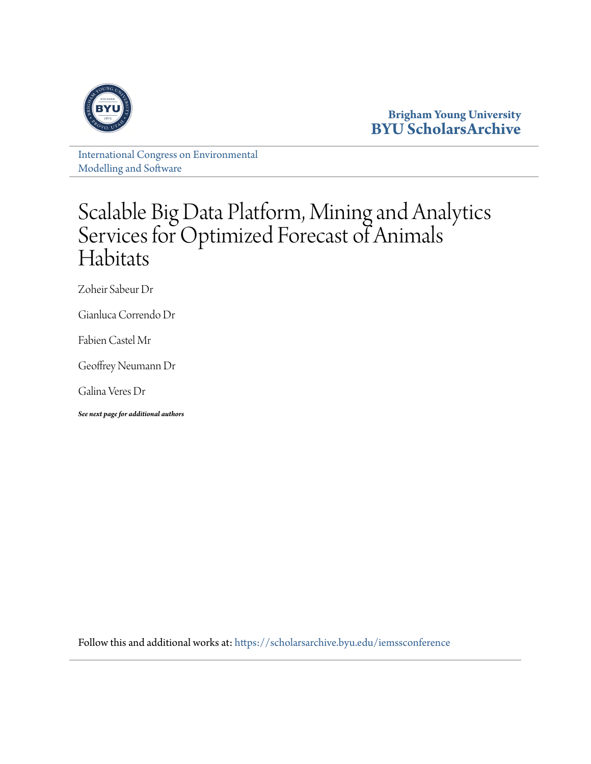

**Brigham Young University [BYU ScholarsArchive](https://scholarsarchive.byu.edu?utm_source=scholarsarchive.byu.edu%2Fiemssconference%2F2014%2FStream-A%2F1&utm_medium=PDF&utm_campaign=PDFCoverPages)**

[International Congress on Environmental](https://scholarsarchive.byu.edu/iemssconference?utm_source=scholarsarchive.byu.edu%2Fiemssconference%2F2014%2FStream-A%2F1&utm_medium=PDF&utm_campaign=PDFCoverPages) [Modelling and Software](https://scholarsarchive.byu.edu/iemssconference?utm_source=scholarsarchive.byu.edu%2Fiemssconference%2F2014%2FStream-A%2F1&utm_medium=PDF&utm_campaign=PDFCoverPages)

## Scalable Big Data Platform, Mining and Analytics Services for Optimized Forecast of Animals Habitats

Zoheir Sabeur Dr

Gianluca Correndo Dr

Fabien Castel Mr

Geoffrey Neumann Dr

Galina Veres Dr

*See next page for additional authors*

Follow this and additional works at: [https://scholarsarchive.byu.edu/iemssconference](https://scholarsarchive.byu.edu/iemssconference?utm_source=scholarsarchive.byu.edu%2Fiemssconference%2F2014%2FStream-A%2F1&utm_medium=PDF&utm_campaign=PDFCoverPages)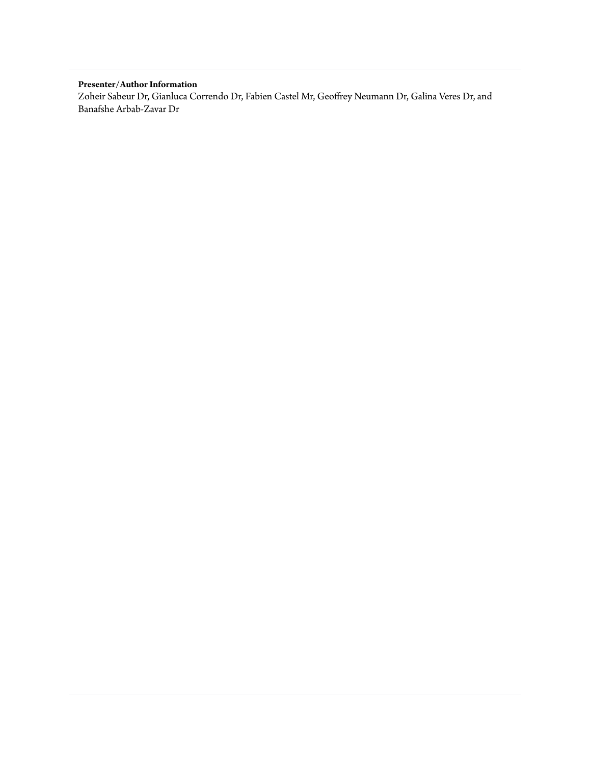#### **Presenter/Author Information**

Zoheir Sabeur Dr, Gianluca Correndo Dr, Fabien Castel Mr, Geoffrey Neumann Dr, Galina Veres Dr, and Banafshe Arbab-Zavar Dr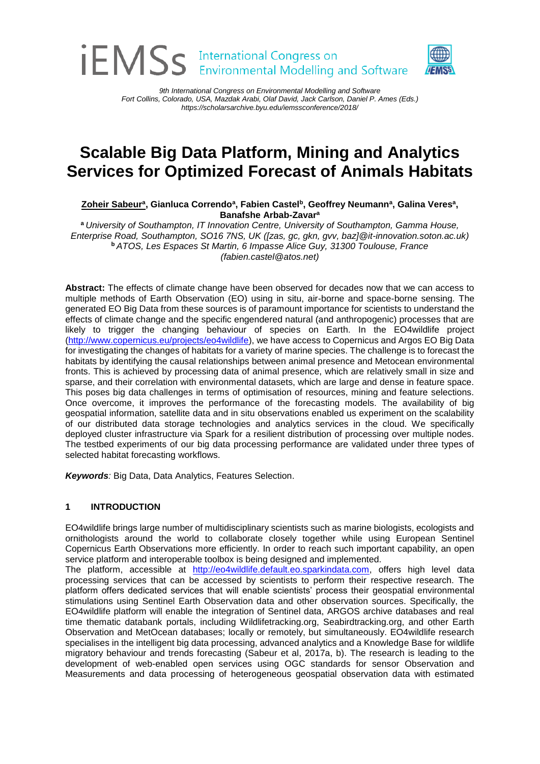# **IEMSS** International Congress on

*9th International Congress on Environmental Modelling and Software Fort Collins, Colorado, USA, Mazdak Arabi, Olaf David, Jack Carlson, Daniel P. Ames (Eds.) https://scholarsarchive.byu.edu/iemssconference/2018/*

### **Scalable Big Data Platform, Mining and Analytics Services for Optimized Forecast of Animals Habitats**

 $\mathbf{Z}$ oheir Sabeurª, Gianluca Correndoª, Fabien Castel<sup>b</sup>, Geoffrey Neumannª, Galina Veresª, **Banafshe Arbab-Zavar<sup>a</sup>**

**<sup>a</sup>** *University of Southampton, IT Innovation Centre, University of Southampton, Gamma House, Enterprise Road, Southampton, SO16 7NS, UK ([zas, gc, gkn, gvv, baz]@it-innovation.soton.ac.uk)*  **<sup>b</sup>** *ATOS, Les Espaces St Martin, 6 Impasse Alice Guy, 31300 Toulouse, France (fabien.castel@atos.net)*

**Abstract:** The effects of climate change have been observed for decades now that we can access to multiple methods of Earth Observation (EO) using in situ, air-borne and space-borne sensing. The generated EO Big Data from these sources is of paramount importance for scientists to understand the effects of climate change and the specific engendered natural (and anthropogenic) processes that are likely to trigger the changing behaviour of species on Earth. In the EO4wildlife project [\(http://www.copernicus.eu/projects/eo4wildlife\)](http://www.copernicus.eu/projects/eo4wildlife), we have access to Copernicus and Argos EO Big Data for investigating the changes of habitats for a variety of marine species. The challenge is to forecast the habitats by identifying the causal relationships between animal presence and Metocean environmental fronts. This is achieved by processing data of animal presence, which are relatively small in size and sparse, and their correlation with environmental datasets, which are large and dense in feature space. This poses big data challenges in terms of optimisation of resources, mining and feature selections. Once overcome, it improves the performance of the forecasting models. The availability of big geospatial information, satellite data and in situ observations enabled us experiment on the scalability of our distributed data storage technologies and analytics services in the cloud. We specifically deployed cluster infrastructure via Spark for a resilient distribution of processing over multiple nodes. The testbed experiments of our big data processing performance are validated under three types of selected habitat forecasting workflows.

*Keywords:* Big Data, Data Analytics, Features Selection.

#### **1 INTRODUCTION**

EO4wildlife brings large number of multidisciplinary scientists such as marine biologists, ecologists and ornithologists around the world to collaborate closely together while using European Sentinel Copernicus Earth Observations more efficiently. In order to reach such important capability, an open service platform and interoperable toolbox is being designed and implemented.

The platform, accessible at [http://eo4wildlife.default.eo.sparkindata.com,](http://eo4wildlife.default.eo.sparkindata.com/) offers high level data processing services that can be accessed by scientists to perform their respective research. The platform offers dedicated services that will enable scientists' process their geospatial environmental stimulations using Sentinel Earth Observation data and other observation sources. Specifically, the EO4wildlife platform will enable the integration of Sentinel data, ARGOS archive databases and real time thematic databank portals, including Wildlifetracking.org, Seabirdtracking.org, and other Earth Observation and MetOcean databases; locally or remotely, but simultaneously. EO4wildlife research specialises in the intelligent big data processing, advanced analytics and a Knowledge Base for wildlife migratory behaviour and trends forecasting (Sabeur et al, 2017a, b). The research is leading to the development of web-enabled open services using OGC standards for sensor Observation and Measurements and data processing of heterogeneous geospatial observation data with estimated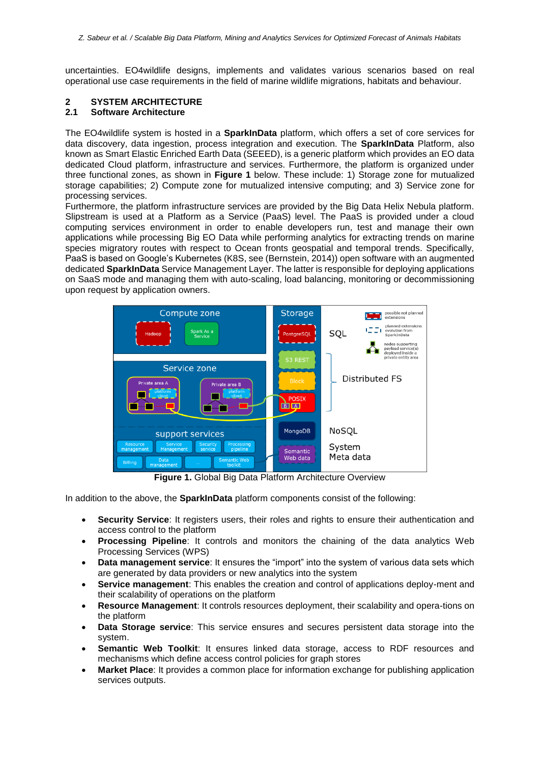uncertainties. EO4wildlife designs, implements and validates various scenarios based on real operational use case requirements in the field of marine wildlife migrations, habitats and behaviour.

## **2 SYSTEM ARCHITECTURE**

#### **2.1 Software Architecture**

The EO4wildlife system is hosted in a **SparkInData** platform, which offers a set of core services for data discovery, data ingestion, process integration and execution. The **SparkInData** Platform, also known as Smart Elastic Enriched Earth Data (SEEED), is a generic platform which provides an EO data dedicated Cloud platform, infrastructure and services. Furthermore, the platform is organized under three functional zones, as shown in **[Figure 1](#page-3-0)** below. These include: 1) Storage zone for mutualized storage capabilities; 2) Compute zone for mutualized intensive computing; and 3) Service zone for processing services.

Furthermore, the platform infrastructure services are provided by the Big Data Helix Nebula platform. Slipstream is used at a Platform as a Service (PaaS) level. The PaaS is provided under a cloud computing services environment in order to enable developers run, test and manage their own applications while processing Big EO Data while performing analytics for extracting trends on marine species migratory routes with respect to Ocean fronts geospatial and temporal trends. Specifically, PaaS is based on Google's Kubernetes (K8S, see (Bernstein, 2014)) open software with an augmented dedicated **SparkInData** Service Management Layer. The latter is responsible for deploying applications on SaaS mode and managing them with auto-scaling, load balancing, monitoring or decommissioning upon request by application owners.



**Figure 1.** Global Big Data Platform Architecture Overview

<span id="page-3-0"></span>In addition to the above, the **SparkInData** platform components consist of the following:

- **Security Service**: It registers users, their roles and rights to ensure their authentication and access control to the platform
- **Processing Pipeline**: It controls and monitors the chaining of the data analytics Web Processing Services (WPS)
- **Data management service**: It ensures the "import" into the system of various data sets which are generated by data providers or new analytics into the system
- **Service management**: This enables the creation and control of applications deploy-ment and their scalability of operations on the platform
- **Resource Management**: It controls resources deployment, their scalability and opera-tions on the platform
- **Data Storage service**: This service ensures and secures persistent data storage into the system.
- **Semantic Web Toolkit**: It ensures linked data storage, access to RDF resources and mechanisms which define access control policies for graph stores
- **Market Place**: It provides a common place for information exchange for publishing application services outputs.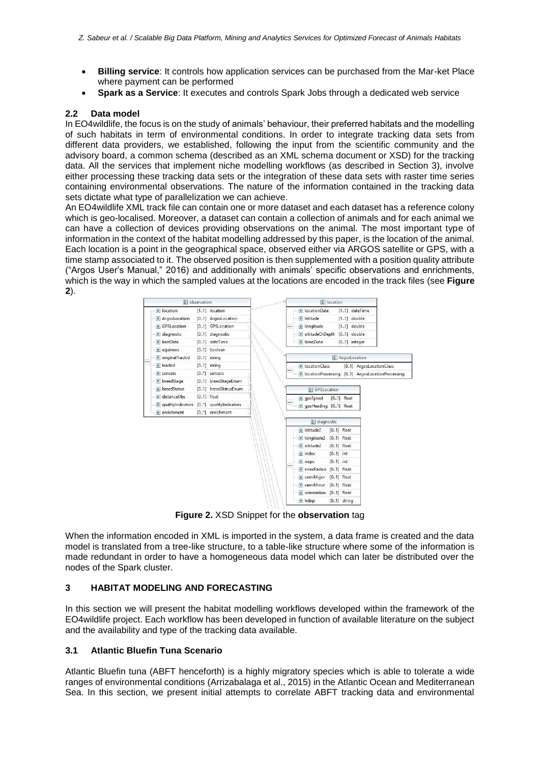- **Billing service**: It controls how application services can be purchased from the Mar-ket Place where payment can be performed
- **Spark as a Service**: It executes and controls Spark Jobs through a dedicated web service

#### **2.2 Data model**

In EO4wildlife, the focus is on the study of animals' behaviour, their preferred habitats and the modelling of such habitats in term of environmental conditions. In order to integrate tracking data sets from different data providers, we established, following the input from the scientific community and the advisory board, a common schema (described as an XML schema document or XSD) for the tracking data. All the services that implement niche modelling workflows (as described in Section 3), involve either processing these tracking data sets or the integration of these data sets with raster time series containing environmental observations. The nature of the information contained in the tracking data sets dictate what type of parallelization we can achieve.

An EO4wildlife XML track file can contain one or more dataset and each dataset has a reference colony which is geo-localised. Moreover, a dataset can contain a collection of animals and for each animal we can have a collection of devices providing observations on the animal. The most important type of information in the context of the habitat modelling addressed by this paper, is the location of the animal. Each location is a point in the geographical space, observed either via ARGOS satellite or GPS, with a time stamp associated to it. The observed position is then supplemented with a position quality attribute ("Argos User's Manual," 2016) and additionally with animals' specific observations and enrichments, which is the way in which the sampled values at the locations are encoded in the track files (see **[Figure](#page-4-0)  [2](#page-4-0)**).



**Figure 2.** XSD Snippet for the **observation** tag

<span id="page-4-0"></span>When the information encoded in XML is imported in the system, a data frame is created and the data model is translated from a tree-like structure, to a table-like structure where some of the information is made redundant in order to have a homogeneous data model which can later be distributed over the nodes of the Spark cluster.

#### **3 HABITAT MODELING AND FORECASTING**

In this section we will present the habitat modelling workflows developed within the framework of the EO4wildlife project. Each workflow has been developed in function of available literature on the subject and the availability and type of the tracking data available.

#### **3.1 Atlantic Bluefin Tuna Scenario**

Atlantic Bluefin tuna (ABFT henceforth) is a highly migratory species which is able to tolerate a wide ranges of environmental conditions (Arrizabalaga et al., 2015) in the Atlantic Ocean and Mediterranean Sea. In this section, we present initial attempts to correlate ABFT tracking data and environmental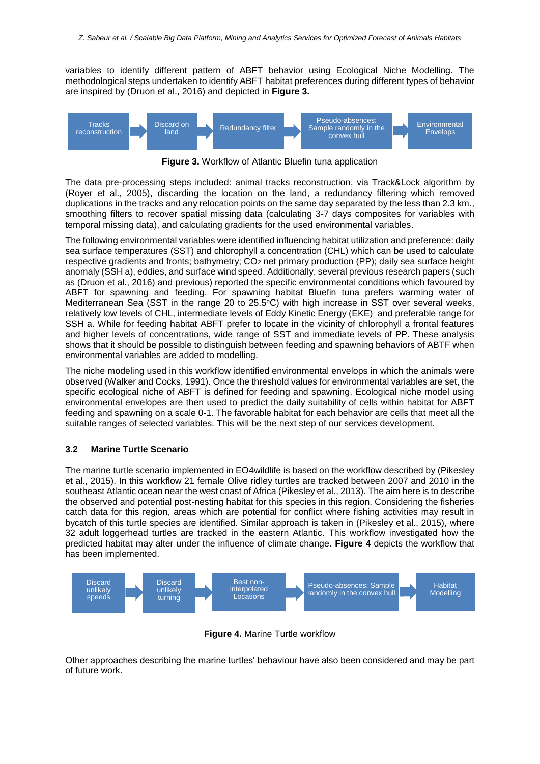variables to identify different pattern of ABFT behavior using Ecological Niche Modelling. The methodological steps undertaken to identify ABFT habitat preferences during different types of behavior are inspired by (Druon et al., 2016) and depicted in **[Figure 3.](#page-5-0)**



**Figure 3.** Workflow of Atlantic Bluefin tuna application

<span id="page-5-0"></span>The data pre-processing steps included: animal tracks reconstruction, via Track&Lock algorithm by (Royer et al., 2005), discarding the location on the land, a redundancy filtering which removed duplications in the tracks and any relocation points on the same day separated by the less than 2.3 km., smoothing filters to recover spatial missing data (calculating 3-7 days composites for variables with temporal missing data), and calculating gradients for the used environmental variables.

The following environmental variables were identified influencing habitat utilization and preference: daily sea surface temperatures (SST) and chlorophyll a concentration (CHL) which can be used to calculate respective gradients and fronts; bathymetry; CO<sub>2</sub> net primary production (PP); daily sea surface height anomaly (SSH a), eddies, and surface wind speed. Additionally, several previous research papers (such as (Druon et al., 2016) and previous) reported the specific environmental conditions which favoured by ABFT for spawning and feeding. For spawning habitat Bluefin tuna prefers warming water of Mediterranean Sea (SST in the range 20 to 25.5°C) with high increase in SST over several weeks, relatively low levels of CHL, intermediate levels of Eddy Kinetic Energy (EKE) and preferable range for SSH a. While for feeding habitat ABFT prefer to locate in the vicinity of chlorophyll a frontal features and higher levels of concentrations, wide range of SST and immediate levels of PP. These analysis shows that it should be possible to distinguish between feeding and spawning behaviors of ABTF when environmental variables are added to modelling.

The niche modeling used in this workflow identified environmental envelops in which the animals were observed (Walker and Cocks, 1991). Once the threshold values for environmental variables are set, the specific ecological niche of ABFT is defined for feeding and spawning. Ecological niche model using environmental envelopes are then used to predict the daily suitability of cells within habitat for ABFT feeding and spawning on a scale 0-1. The favorable habitat for each behavior are cells that meet all the suitable ranges of selected variables. This will be the next step of our services development.

#### **3.2 Marine Turtle Scenario**

The marine turtle scenario implemented in EO4wildlife is based on the workflow described by (Pikesley et al., 2015). In this workflow 21 female Olive ridley turtles are tracked between 2007 and 2010 in the southeast Atlantic ocean near the west coast of Africa (Pikesley et al., 2013). The aim here is to describe the observed and potential post-nesting habitat for this species in this region. Considering the fisheries catch data for this region, areas which are potential for conflict where fishing activities may result in bycatch of this turtle species are identified. Similar approach is taken in (Pikesley et al., 2015), where 32 adult loggerhead turtles are tracked in the eastern Atlantic. This workflow investigated how the predicted habitat may alter under the influence of climate change. **[Figure 4](#page-5-1)** depicts the workflow that has been implemented.



**Figure 4.** Marine Turtle workflow

<span id="page-5-1"></span>Other approaches describing the marine turtles' behaviour have also been considered and may be part of future work.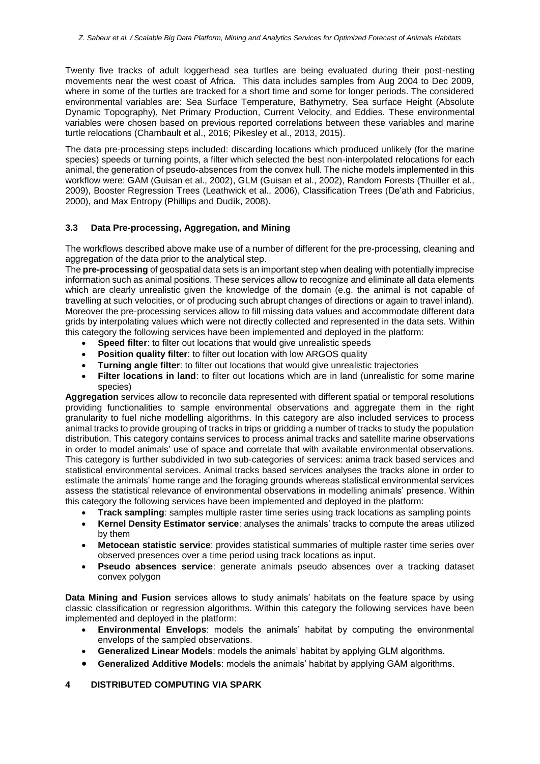Twenty five tracks of adult loggerhead sea turtles are being evaluated during their post-nesting movements near the west coast of Africa. This data includes samples from Aug 2004 to Dec 2009, where in some of the turtles are tracked for a short time and some for longer periods. The considered environmental variables are: Sea Surface Temperature, Bathymetry, Sea surface Height (Absolute Dynamic Topography), Net Primary Production, Current Velocity, and Eddies. These environmental variables were chosen based on previous reported correlations between these variables and marine turtle relocations (Chambault et al., 2016; Pikesley et al., 2013, 2015).

The data pre-processing steps included: discarding locations which produced unlikely (for the marine species) speeds or turning points, a filter which selected the best non-interpolated relocations for each animal, the generation of pseudo-absences from the convex hull. The niche models implemented in this workflow were: GAM (Guisan et al., 2002), GLM (Guisan et al., 2002), Random Forests (Thuiller et al., 2009), Booster Regression Trees (Leathwick et al., 2006), Classification Trees (De'ath and Fabricius, 2000), and Max Entropy (Phillips and Dudík, 2008).

#### **3.3 Data Pre-processing, Aggregation, and Mining**

The workflows described above make use of a number of different for the pre-processing, cleaning and aggregation of the data prior to the analytical step.

The **pre-processing** of geospatial data sets is an important step when dealing with potentially imprecise information such as animal positions. These services allow to recognize and eliminate all data elements which are clearly unrealistic given the knowledge of the domain (e.g. the animal is not capable of travelling at such velocities, or of producing such abrupt changes of directions or again to travel inland). Moreover the pre-processing services allow to fill missing data values and accommodate different data grids by interpolating values which were not directly collected and represented in the data sets. Within this category the following services have been implemented and deployed in the platform:

- **Speed filter:** to filter out locations that would give unrealistic speeds
- **Position quality filter:** to filter out location with low ARGOS quality
- **Turning angle filter**: to filter out locations that would give unrealistic trajectories
- **Filter locations in land**: to filter out locations which are in land (unrealistic for some marine species)

**Aggregation** services allow to reconcile data represented with different spatial or temporal resolutions providing functionalities to sample environmental observations and aggregate them in the right granularity to fuel niche modelling algorithms. In this category are also included services to process animal tracks to provide grouping of tracks in trips or gridding a number of tracks to study the population distribution. This category contains services to process animal tracks and satellite marine observations in order to model animals' use of space and correlate that with available environmental observations. This category is further subdivided in two sub-categories of services: anima track based services and statistical environmental services. Animal tracks based services analyses the tracks alone in order to estimate the animals' home range and the foraging grounds whereas statistical environmental services assess the statistical relevance of environmental observations in modelling animals' presence. Within this category the following services have been implemented and deployed in the platform:

- **Track sampling**: samples multiple raster time series using track locations as sampling points
- **Kernel Density Estimator service**: analyses the animals' tracks to compute the areas utilized by them
- **Metocean statistic service**: provides statistical summaries of multiple raster time series over observed presences over a time period using track locations as input.
- **Pseudo absences service**: generate animals pseudo absences over a tracking dataset convex polygon

**Data Mining and Fusion** services allows to study animals' habitats on the feature space by using classic classification or regression algorithms. Within this category the following services have been implemented and deployed in the platform:

- **Environmental Envelops**: models the animals' habitat by computing the environmental envelops of the sampled observations.
- **Generalized Linear Models**: models the animals' habitat by applying GLM algorithms.
- **Generalized Additive Models**: models the animals' habitat by applying GAM algorithms.

#### **4 DISTRIBUTED COMPUTING VIA SPARK**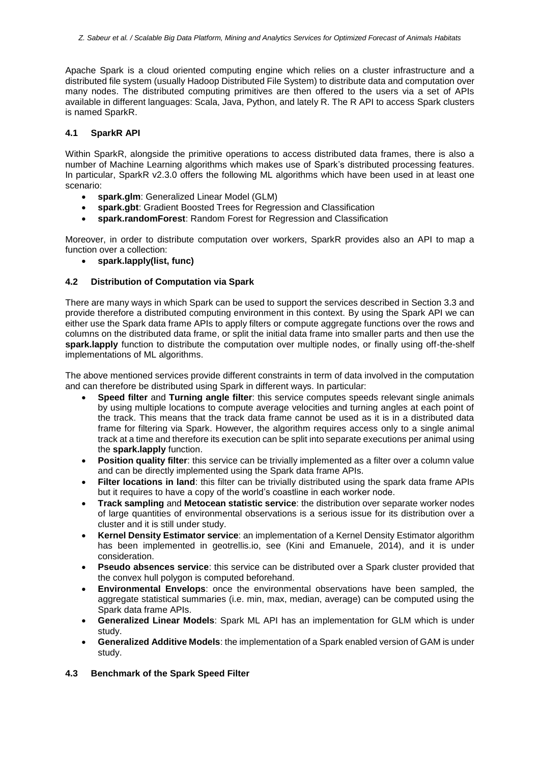Apache Spark is a cloud oriented computing engine which relies on a cluster infrastructure and a distributed file system (usually Hadoop Distributed File System) to distribute data and computation over many nodes. The distributed computing primitives are then offered to the users via a set of APIs available in different languages: Scala, Java, Python, and lately R. The R API to access Spark clusters is named SparkR.

#### **4.1 SparkR API**

Within SparkR, alongside the primitive operations to access distributed data frames, there is also a number of Machine Learning algorithms which makes use of Spark's distributed processing features. In particular, SparkR v2.3.0 offers the following ML algorithms which have been used in at least one scenario:

- **spark.glm**: Generalized Linear Model (GLM)
- **spark.gbt**: Gradient Boosted Trees for Regression and Classification
- **spark.randomForest**: Random Forest for Regression and Classification

Moreover, in order to distribute computation over workers, SparkR provides also an API to map a function over a collection:

• **spark.lapply(list, func)**

#### **4.2 Distribution of Computation via Spark**

There are many ways in which Spark can be used to support the services described in Section 3.3 and provide therefore a distributed computing environment in this context. By using the Spark API we can either use the Spark data frame APIs to apply filters or compute aggregate functions over the rows and columns on the distributed data frame, or split the initial data frame into smaller parts and then use the **spark.lapply** function to distribute the computation over multiple nodes, or finally using off-the-shelf implementations of ML algorithms.

The above mentioned services provide different constraints in term of data involved in the computation and can therefore be distributed using Spark in different ways. In particular:

- **Speed filter** and **Turning angle filter**: this service computes speeds relevant single animals by using multiple locations to compute average velocities and turning angles at each point of the track. This means that the track data frame cannot be used as it is in a distributed data frame for filtering via Spark. However, the algorithm requires access only to a single animal track at a time and therefore its execution can be split into separate executions per animal using the **spark.lapply** function.
- **Position quality filter**: this service can be trivially implemented as a filter over a column value and can be directly implemented using the Spark data frame APIs.
- **Filter locations in land**: this filter can be trivially distributed using the spark data frame APIs but it requires to have a copy of the world's coastline in each worker node.
- **Track sampling** and **Metocean statistic service**: the distribution over separate worker nodes of large quantities of environmental observations is a serious issue for its distribution over a cluster and it is still under study.
- **Kernel Density Estimator service**: an implementation of a Kernel Density Estimator algorithm has been implemented in geotrellis.io, see (Kini and Emanuele, 2014), and it is under consideration.
- **Pseudo absences service**: this service can be distributed over a Spark cluster provided that the convex hull polygon is computed beforehand.
- **Environmental Envelops**: once the environmental observations have been sampled, the aggregate statistical summaries (i.e. min, max, median, average) can be computed using the Spark data frame APIs.
- **Generalized Linear Models**: Spark ML API has an implementation for GLM which is under study.
- **Generalized Additive Models**: the implementation of a Spark enabled version of GAM is under study.
- **4.3 Benchmark of the Spark Speed Filter**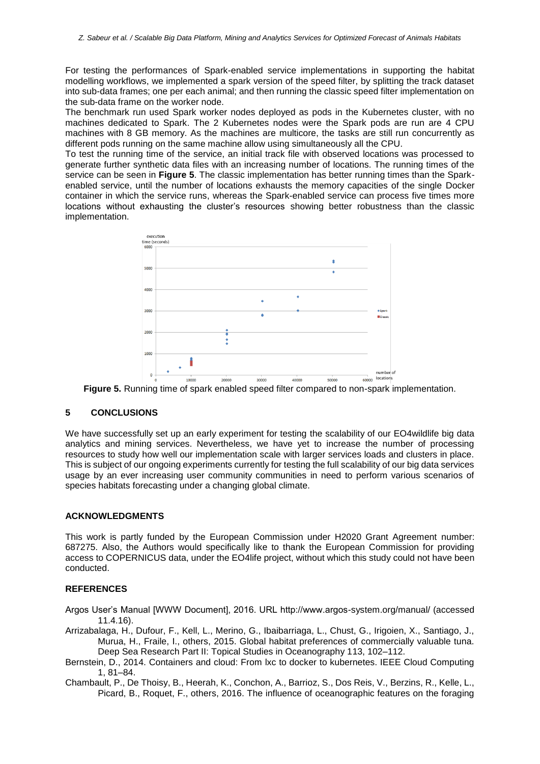For testing the performances of Spark-enabled service implementations in supporting the habitat modelling workflows, we implemented a spark version of the speed filter, by splitting the track dataset into sub-data frames; one per each animal; and then running the classic speed filter implementation on the sub-data frame on the worker node.

The benchmark run used Spark worker nodes deployed as pods in the Kubernetes cluster, with no machines dedicated to Spark. The 2 Kubernetes nodes were the Spark pods are run are 4 CPU machines with 8 GB memory. As the machines are multicore, the tasks are still run concurrently as different pods running on the same machine allow using simultaneously all the CPU.

To test the running time of the service, an initial track file with observed locations was processed to generate further synthetic data files with an increasing number of locations. The running times of the service can be seen in **[Figure 5](#page-8-0)**. The classic implementation has better running times than the Sparkenabled service, until the number of locations exhausts the memory capacities of the single Docker container in which the service runs, whereas the Spark-enabled service can process five times more locations without exhausting the cluster's resources showing better robustness than the classic implementation.



<span id="page-8-0"></span>**Figure 5.** Running time of spark enabled speed filter compared to non-spark implementation.

#### **5 CONCLUSIONS**

We have successfully set up an early experiment for testing the scalability of our EO4wildlife big data analytics and mining services. Nevertheless, we have yet to increase the number of processing resources to study how well our implementation scale with larger services loads and clusters in place. This is subject of our ongoing experiments currently for testing the full scalability of our big data services usage by an ever increasing user community communities in need to perform various scenarios of species habitats forecasting under a changing global climate.

#### **ACKNOWLEDGMENTS**

This work is partly funded by the European Commission under H2020 Grant Agreement number: 687275. Also, the Authors would specifically like to thank the European Commission for providing access to COPERNICUS data, under the EO4life project, without which this study could not have been conducted.

#### **REFERENCES**

Argos User's Manual [WWW Document], 2016. URL http://www.argos-system.org/manual/ (accessed 11.4.16).

- Arrizabalaga, H., Dufour, F., Kell, L., Merino, G., Ibaibarriaga, L., Chust, G., Irigoien, X., Santiago, J., Murua, H., Fraile, I., others, 2015. Global habitat preferences of commercially valuable tuna. Deep Sea Research Part II: Topical Studies in Oceanography 113, 102–112.
- Bernstein, D., 2014. Containers and cloud: From lxc to docker to kubernetes. IEEE Cloud Computing 1, 81–84.
- Chambault, P., De Thoisy, B., Heerah, K., Conchon, A., Barrioz, S., Dos Reis, V., Berzins, R., Kelle, L., Picard, B., Roquet, F., others, 2016. The influence of oceanographic features on the foraging